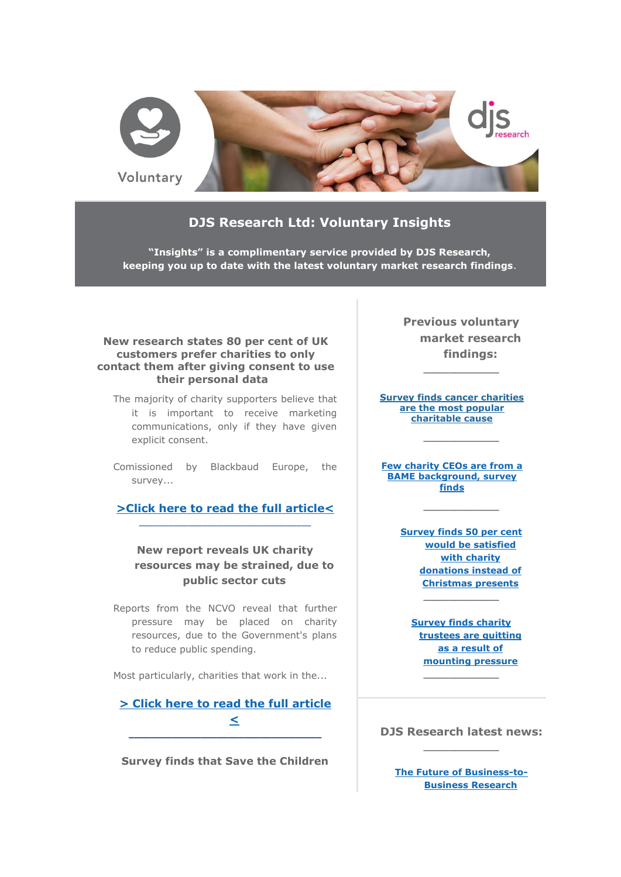

## **DJS Research Ltd: Voluntary Insights**

**"Insights" is a complimentary service provided by DJS Research, keeping you up to date with the latest voluntary market research findings**.

### **New research states 80 per cent of UK customers prefer charities to only contact them after giving consent to use their personal data**

- The majority of charity supporters believe that it is important to receive marketing communications, only if they have given explicit consent.
- Comissioned by Blackbaud Europe, the survey...

**[>Click here to read the full article<](http://click.icptrack.com/icp/relay.php?r=&msgid=0&act=111111&c=948381&destination=http%3A%2F%2Fwww.djsresearch.co.uk%2FCharityAndVoluntaryMarketResearchInsightsAndFindings%2Farticle%2FNew-research-states-80-per-cent-of-UK-customers-prefer-charities-to-only-contact-them-after-giving-consent-to-use-their-personal-data-03795)** \_\_\_\_\_\_\_\_\_\_\_\_\_\_\_\_\_\_\_\_\_\_\_\_\_\_\_\_\_\_\_\_\_\_\_

## **New report reveals UK charity resources may be strained, due to public sector cuts**

Reports from the NCVO reveal that further pressure may be placed on charity resources, due to the Government's plans to reduce public spending.

Most particularly, charities that work in the...

# **[> Click here to read the full article](http://click.icptrack.com/icp/relay.php?r=&msgid=0&act=111111&c=948381&destination=http%3A%2F%2Fwww.djsresearch.co.uk%2FCharityAndVoluntaryMarketResearchInsightsAndFindings%2Farticle%2FNew-report-reveals-UK-charity-resources-may-be-strained-due-to-public-sector-cuts-03778)  [<](http://click.icptrack.com/icp/relay.php?r=&msgid=0&act=111111&c=948381&destination=http%3A%2F%2Fwww.djsresearch.co.uk%2FCharityAndVoluntaryMarketResearchInsightsAndFindings%2Farticle%2FNew-report-reveals-UK-charity-resources-may-be-strained-due-to-public-sector-cuts-03778)**

**\_\_\_\_\_\_\_\_\_\_\_\_\_\_\_\_\_\_\_\_\_\_\_\_\_\_\_\_\_\_\_\_\_\_\_**

**Survey finds that Save the Children** 

**Previous voluntary market research findings:**

**\_\_\_\_\_\_\_\_\_\_\_\_**

**[Survey finds cancer charities](http://click.icptrack.com/icp/relay.php?r=&msgid=0&act=111111&c=948381&destination=http%3A%2F%2Fwww.djsresearch.co.uk%2FCharityAndVoluntaryMarketResearchInsightsAndFindings%2Farticle%2FSurvey-finds-cancer-charities-are-the-most-popular-charitable-cause-03504)  [are the most popular](http://click.icptrack.com/icp/relay.php?r=&msgid=0&act=111111&c=948381&destination=http%3A%2F%2Fwww.djsresearch.co.uk%2FCharityAndVoluntaryMarketResearchInsightsAndFindings%2Farticle%2FSurvey-finds-cancer-charities-are-the-most-popular-charitable-cause-03504)  [charitable cause](http://click.icptrack.com/icp/relay.php?r=&msgid=0&act=111111&c=948381&destination=http%3A%2F%2Fwww.djsresearch.co.uk%2FCharityAndVoluntaryMarketResearchInsightsAndFindings%2Farticle%2FSurvey-finds-cancer-charities-are-the-most-popular-charitable-cause-03504)**

**\_\_\_\_\_\_\_\_\_\_\_\_**

**[Few charity CEOs are from a](http://click.icptrack.com/icp/relay.php?r=&msgid=0&act=111111&c=948381&destination=http%3A%2F%2Fwww.djsresearch.co.uk%2FCharityAndVoluntaryMarketResearchInsightsAndFindings%2Farticle%2FFew-charity-CEOs-are-from-a-BAME-background-survey-finds-03459)  [BAME background, survey](http://click.icptrack.com/icp/relay.php?r=&msgid=0&act=111111&c=948381&destination=http%3A%2F%2Fwww.djsresearch.co.uk%2FCharityAndVoluntaryMarketResearchInsightsAndFindings%2Farticle%2FFew-charity-CEOs-are-from-a-BAME-background-survey-finds-03459)  [finds](http://click.icptrack.com/icp/relay.php?r=&msgid=0&act=111111&c=948381&destination=http%3A%2F%2Fwww.djsresearch.co.uk%2FCharityAndVoluntaryMarketResearchInsightsAndFindings%2Farticle%2FFew-charity-CEOs-are-from-a-BAME-background-survey-finds-03459)**

> **[Survey finds 50 per cent](http://click.icptrack.com/icp/relay.php?r=&msgid=0&act=111111&c=948381&destination=http%3A%2F%2Fwww.djsresearch.co.uk%2FCharityAndVoluntaryMarketResearchInsightsAndFindings%2Farticle%2FSurvey-finds-50-per-cent-would-be-satisfied-with-charity-donations-instead-of-Christmas-presents-03399)  [would be satisfied](http://click.icptrack.com/icp/relay.php?r=&msgid=0&act=111111&c=948381&destination=http%3A%2F%2Fwww.djsresearch.co.uk%2FCharityAndVoluntaryMarketResearchInsightsAndFindings%2Farticle%2FSurvey-finds-50-per-cent-would-be-satisfied-with-charity-donations-instead-of-Christmas-presents-03399)  [with charity](http://click.icptrack.com/icp/relay.php?r=&msgid=0&act=111111&c=948381&destination=http%3A%2F%2Fwww.djsresearch.co.uk%2FCharityAndVoluntaryMarketResearchInsightsAndFindings%2Farticle%2FSurvey-finds-50-per-cent-would-be-satisfied-with-charity-donations-instead-of-Christmas-presents-03399)  [donations instead of](http://click.icptrack.com/icp/relay.php?r=&msgid=0&act=111111&c=948381&destination=http%3A%2F%2Fwww.djsresearch.co.uk%2FCharityAndVoluntaryMarketResearchInsightsAndFindings%2Farticle%2FSurvey-finds-50-per-cent-would-be-satisfied-with-charity-donations-instead-of-Christmas-presents-03399)  [Christmas presents](http://click.icptrack.com/icp/relay.php?r=&msgid=0&act=111111&c=948381&destination=http%3A%2F%2Fwww.djsresearch.co.uk%2FCharityAndVoluntaryMarketResearchInsightsAndFindings%2Farticle%2FSurvey-finds-50-per-cent-would-be-satisfied-with-charity-donations-instead-of-Christmas-presents-03399) \_\_\_\_\_\_\_\_\_\_\_\_**

**\_\_\_\_\_\_\_\_\_\_\_\_**

**[Survey finds charity](http://click.icptrack.com/icp/relay.php?r=&msgid=0&act=111111&c=948381&destination=http%3A%2F%2Fwww.djsresearch.co.uk%2FCharityAndVoluntaryMarketResearchInsightsAndFindings%2Farticle%2FSurvey-finds-charity-trustees-are-quitting-as-a-result-of-mounting-pressure-03349)  [trustees are quitting](http://click.icptrack.com/icp/relay.php?r=&msgid=0&act=111111&c=948381&destination=http%3A%2F%2Fwww.djsresearch.co.uk%2FCharityAndVoluntaryMarketResearchInsightsAndFindings%2Farticle%2FSurvey-finds-charity-trustees-are-quitting-as-a-result-of-mounting-pressure-03349)  [as a result of](http://click.icptrack.com/icp/relay.php?r=&msgid=0&act=111111&c=948381&destination=http%3A%2F%2Fwww.djsresearch.co.uk%2FCharityAndVoluntaryMarketResearchInsightsAndFindings%2Farticle%2FSurvey-finds-charity-trustees-are-quitting-as-a-result-of-mounting-pressure-03349)  [mounting pressure](http://click.icptrack.com/icp/relay.php?r=&msgid=0&act=111111&c=948381&destination=http%3A%2F%2Fwww.djsresearch.co.uk%2FCharityAndVoluntaryMarketResearchInsightsAndFindings%2Farticle%2FSurvey-finds-charity-trustees-are-quitting-as-a-result-of-mounting-pressure-03349)**

**DJS Research latest news: \_\_\_\_\_\_\_\_\_\_\_\_**

**\_\_\_\_\_\_\_\_\_\_\_\_**

**[The Future of Business-to-](http://click.icptrack.com/icp/relay.php?r=&msgid=0&act=111111&c=948381&destination=http%3A%2F%2Fwww.djsresearch.co.uk%2Fnews%2Farticle%2FThe-Future-of-Business-to-Business-Research)[Business Research](http://click.icptrack.com/icp/relay.php?r=&msgid=0&act=111111&c=948381&destination=http%3A%2F%2Fwww.djsresearch.co.uk%2Fnews%2Farticle%2FThe-Future-of-Business-to-Business-Research)**